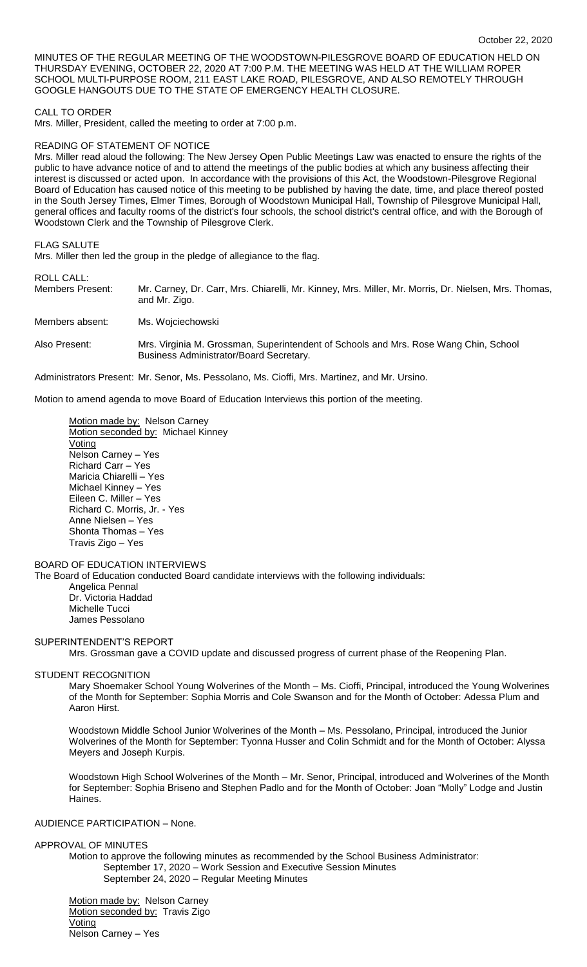MINUTES OF THE REGULAR MEETING OF THE WOODSTOWN-PILESGROVE BOARD OF EDUCATION HELD ON THURSDAY EVENING, OCTOBER 22, 2020 AT 7:00 P.M. THE MEETING WAS HELD AT THE WILLIAM ROPER SCHOOL MULTI-PURPOSE ROOM, 211 EAST LAKE ROAD, PILESGROVE, AND ALSO REMOTELY THROUGH GOOGLE HANGOUTS DUE TO THE STATE OF EMERGENCY HEALTH CLOSURE.

## CALL TO ORDER

Mrs. Miller, President, called the meeting to order at 7:00 p.m.

#### READING OF STATEMENT OF NOTICE

Mrs. Miller read aloud the following: The New Jersey Open Public Meetings Law was enacted to ensure the rights of the public to have advance notice of and to attend the meetings of the public bodies at which any business affecting their interest is discussed or acted upon. In accordance with the provisions of this Act, the Woodstown-Pilesgrove Regional Board of Education has caused notice of this meeting to be published by having the date, time, and place thereof posted in the South Jersey Times, Elmer Times, Borough of Woodstown Municipal Hall, Township of Pilesgrove Municipal Hall, general offices and faculty rooms of the district's four schools, the school district's central office, and with the Borough of Woodstown Clerk and the Township of Pilesgrove Clerk.

#### FLAG SALUTE

Mrs. Miller then led the group in the pledge of allegiance to the flag.

## ROLL CALL:

Members Present: Mr. Carney, Dr. Carr, Mrs. Chiarelli, Mr. Kinney, Mrs. Miller, Mr. Morris, Dr. Nielsen, Mrs. Thomas, and Mr. Zigo.

Members absent: Ms. Wojciechowski

Also Present: Mrs. Virginia M. Grossman, Superintendent of Schools and Mrs. Rose Wang Chin, School Business Administrator/Board Secretary.

Administrators Present: Mr. Senor, Ms. Pessolano, Ms. Cioffi, Mrs. Martinez, and Mr. Ursino.

Motion to amend agenda to move Board of Education Interviews this portion of the meeting.

Motion made by: Nelson Carney Motion seconded by: Michael Kinney **Voting** Nelson Carney – Yes Richard Carr – Yes Maricia Chiarelli – Yes Michael Kinney – Yes Eileen C. Miller – Yes Richard C. Morris, Jr. - Yes Anne Nielsen – Yes Shonta Thomas – Yes Travis Zigo – Yes

# BOARD OF EDUCATION INTERVIEWS

The Board of Education conducted Board candidate interviews with the following individuals:

Angelica Pennal Dr. Victoria Haddad Michelle Tucci James Pessolano

## SUPERINTENDENT'S REPORT

Mrs. Grossman gave a COVID update and discussed progress of current phase of the Reopening Plan.

## STUDENT RECOGNITION

Mary Shoemaker School Young Wolverines of the Month – Ms. Cioffi, Principal, introduced the Young Wolverines of the Month for September: Sophia Morris and Cole Swanson and for the Month of October: Adessa Plum and Aaron Hirst.

Woodstown Middle School Junior Wolverines of the Month – Ms. Pessolano, Principal, introduced the Junior Wolverines of the Month for September: Tyonna Husser and Colin Schmidt and for the Month of October: Alyssa Meyers and Joseph Kurpis.

Woodstown High School Wolverines of the Month – Mr. Senor, Principal, introduced and Wolverines of the Month for September: Sophia Briseno and Stephen Padlo and for the Month of October: Joan "Molly" Lodge and Justin Haines.

# AUDIENCE PARTICIPATION – None.

#### APPROVAL OF MINUTES

Motion to approve the following minutes as recommended by the School Business Administrator: September 17, 2020 – Work Session and Executive Session Minutes September 24, 2020 – Regular Meeting Minutes

Motion made by: Nelson Carney Motion seconded by: Travis Zigo Voting Nelson Carney – Yes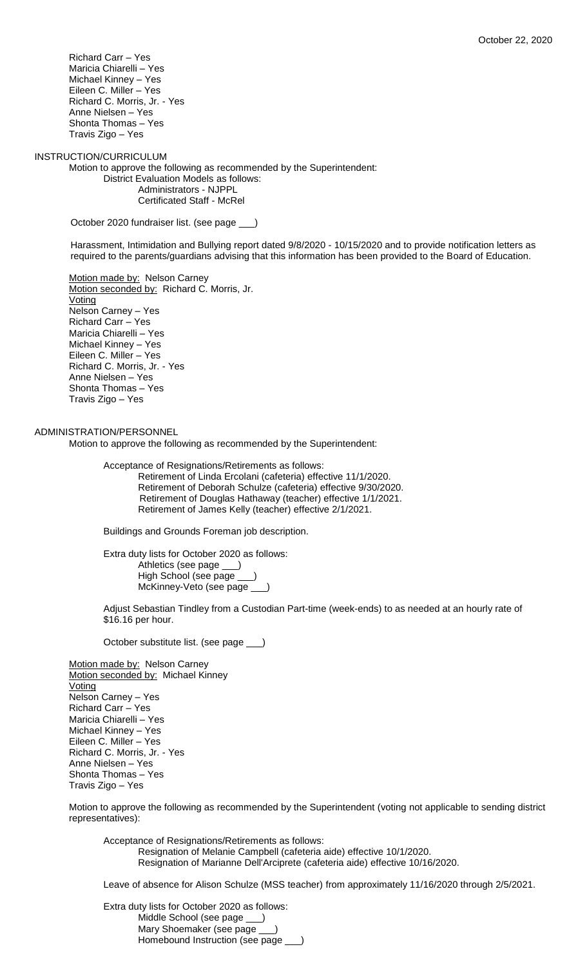Richard Carr – Yes Maricia Chiarelli – Yes Michael Kinney – Yes Eileen C. Miller – Yes Richard C. Morris, Jr. - Yes Anne Nielsen – Yes Shonta Thomas – Yes Travis Zigo – Yes

INSTRUCTION/CURRICULUM

Motion to approve the following as recommended by the Superintendent: District Evaluation Models as follows:

> Administrators - NJPPL Certificated Staff - McRel

October 2020 fundraiser list. (see page \_\_\_)

Harassment, Intimidation and Bullying report dated 9/8/2020 - 10/15/2020 and to provide notification letters as required to the parents/guardians advising that this information has been provided to the Board of Education.

Motion made by: Nelson Carney Motion seconded by: Richard C. Morris, Jr. **Voting** Nelson Carney – Yes Richard Carr – Yes Maricia Chiarelli – Yes Michael Kinney – Yes Eileen C. Miller – Yes Richard C. Morris, Jr. - Yes Anne Nielsen – Yes Shonta Thomas – Yes Travis Zigo – Yes

## ADMINISTRATION/PERSONNEL

Motion to approve the following as recommended by the Superintendent:

Acceptance of Resignations/Retirements as follows:

Retirement of Linda Ercolani (cafeteria) effective 11/1/2020. Retirement of Deborah Schulze (cafeteria) effective 9/30/2020. Retirement of Douglas Hathaway (teacher) effective 1/1/2021. Retirement of James Kelly (teacher) effective 2/1/2021.

Buildings and Grounds Foreman job description.

Extra duty lists for October 2020 as follows: Athletics (see page \_\_\_) High School (see page \_\_\_) McKinney-Veto (see page \_\_\_)

Adjust Sebastian Tindley from a Custodian Part-time (week-ends) to as needed at an hourly rate of \$16.16 per hour.

October substitute list. (see page \_\_\_)

Motion made by: Nelson Carney Motion seconded by: Michael Kinney Voting Nelson Carney – Yes Richard Carr – Yes Maricia Chiarelli – Yes Michael Kinney – Yes Eileen C. Miller – Yes Richard C. Morris, Jr. - Yes Anne Nielsen – Yes Shonta Thomas – Yes Travis Zigo – Yes

Motion to approve the following as recommended by the Superintendent (voting not applicable to sending district representatives):

Acceptance of Resignations/Retirements as follows: Resignation of Melanie Campbell (cafeteria aide) effective 10/1/2020. Resignation of Marianne Dell'Arciprete (cafeteria aide) effective 10/16/2020.

Leave of absence for Alison Schulze (MSS teacher) from approximately 11/16/2020 through 2/5/2021.

Extra duty lists for October 2020 as follows: Middle School (see page \_\_\_) Mary Shoemaker (see page \_ Homebound Instruction (see page \_\_\_)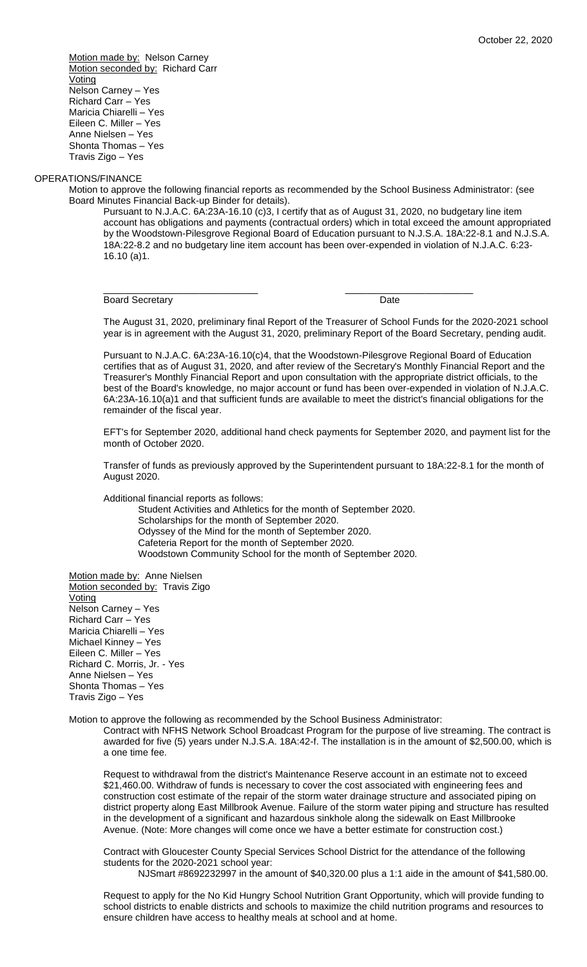Motion made by: Nelson Carney Motion seconded by: Richard Carr **Voting** Nelson Carney – Yes Richard Carr – Yes Maricia Chiarelli – Yes Eileen C. Miller – Yes Anne Nielsen – Yes Shonta Thomas – Yes Travis Zigo – Yes

## OPERATIONS/FINANCE

Motion to approve the following financial reports as recommended by the School Business Administrator: (see Board Minutes Financial Back-up Binder for details).

\_\_\_\_\_\_\_\_\_\_\_\_\_\_\_\_\_\_\_\_\_\_\_\_\_\_\_\_\_ \_\_\_\_\_\_\_\_\_\_\_\_\_\_\_\_\_\_\_\_\_\_\_\_

Pursuant to N.J.A.C. 6A:23A-16.10 (c)3, I certify that as of August 31, 2020, no budgetary line item account has obligations and payments (contractual orders) which in total exceed the amount appropriated by the Woodstown-Pilesgrove Regional Board of Education pursuant to N.J.S.A. 18A:22-8.1 and N.J.S.A. 18A:22-8.2 and no budgetary line item account has been over-expended in violation of N.J.A.C. 6:23- 16.10 (a)1.

Board Secretary **Date** 

The August 31, 2020, preliminary final Report of the Treasurer of School Funds for the 2020-2021 school year is in agreement with the August 31, 2020, preliminary Report of the Board Secretary, pending audit.

Pursuant to N.J.A.C. 6A:23A-16.10(c)4, that the Woodstown-Pilesgrove Regional Board of Education certifies that as of August 31, 2020, and after review of the Secretary's Monthly Financial Report and the Treasurer's Monthly Financial Report and upon consultation with the appropriate district officials, to the best of the Board's knowledge, no major account or fund has been over-expended in violation of N.J.A.C. 6A:23A-16.10(a)1 and that sufficient funds are available to meet the district's financial obligations for the remainder of the fiscal year.

EFT's for September 2020, additional hand check payments for September 2020, and payment list for the month of October 2020.

Transfer of funds as previously approved by the Superintendent pursuant to 18A:22-8.1 for the month of August 2020.

Additional financial reports as follows:

Student Activities and Athletics for the month of September 2020. Scholarships for the month of September 2020. Odyssey of the Mind for the month of September 2020. Cafeteria Report for the month of September 2020. Woodstown Community School for the month of September 2020.

Motion made by: Anne Nielsen Motion seconded by: Travis Zigo Voting Nelson Carney – Yes Richard Carr – Yes Maricia Chiarelli – Yes Michael Kinney – Yes Eileen C. Miller – Yes Richard C. Morris, Jr. - Yes Anne Nielsen – Yes Shonta Thomas – Yes Travis Zigo – Yes

Motion to approve the following as recommended by the School Business Administrator: Contract with NFHS Network School Broadcast Program for the purpose of live streaming. The contract is awarded for five (5) years under N.J.S.A. 18A:42-f. The installation is in the amount of \$2,500.00, which is a one time fee.

Request to withdrawal from the district's Maintenance Reserve account in an estimate not to exceed \$21,460.00. Withdraw of funds is necessary to cover the cost associated with engineering fees and construction cost estimate of the repair of the storm water drainage structure and associated piping on district property along East Millbrook Avenue. Failure of the storm water piping and structure has resulted in the development of a significant and hazardous sinkhole along the sidewalk on East Millbrooke Avenue. (Note: More changes will come once we have a better estimate for construction cost.)

Contract with Gloucester County Special Services School District for the attendance of the following students for the 2020-2021 school year:

NJSmart #8692232997 in the amount of \$40,320.00 plus a 1:1 aide in the amount of \$41,580.00.

Request to apply for the No Kid Hungry School Nutrition Grant Opportunity, which will provide funding to school districts to enable districts and schools to maximize the child nutrition programs and resources to ensure children have access to healthy meals at school and at home.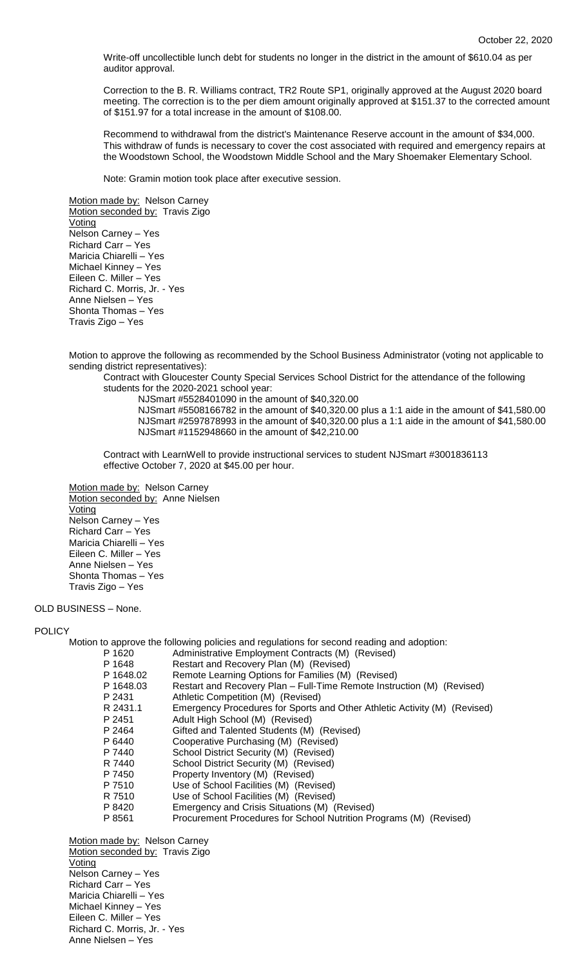Write-off uncollectible lunch debt for students no longer in the district in the amount of \$610.04 as per auditor approval.

Correction to the B. R. Williams contract, TR2 Route SP1, originally approved at the August 2020 board meeting. The correction is to the per diem amount originally approved at \$151.37 to the corrected amount of \$151.97 for a total increase in the amount of \$108.00.

Recommend to withdrawal from the district's Maintenance Reserve account in the amount of \$34,000. This withdraw of funds is necessary to cover the cost associated with required and emergency repairs at the Woodstown School, the Woodstown Middle School and the Mary Shoemaker Elementary School.

Note: Gramin motion took place after executive session.

Motion made by: Nelson Carney Motion seconded by: Travis Zigo **Voting** Nelson Carney – Yes Richard Carr – Yes Maricia Chiarelli – Yes Michael Kinney – Yes Eileen C. Miller – Yes Richard C. Morris, Jr. - Yes Anne Nielsen – Yes Shonta Thomas – Yes Travis Zigo – Yes

Motion to approve the following as recommended by the School Business Administrator (voting not applicable to sending district representatives):

Contract with Gloucester County Special Services School District for the attendance of the following students for the 2020-2021 school year:

NJSmart #5528401090 in the amount of \$40,320.00

NJSmart #5508166782 in the amount of \$40,320.00 plus a 1:1 aide in the amount of \$41,580.00 NJSmart #2597878993 in the amount of \$40,320.00 plus a 1:1 aide in the amount of \$41,580.00 NJSmart #1152948660 in the amount of \$42,210.00

Contract with LearnWell to provide instructional services to student NJSmart #3001836113 effective October 7, 2020 at \$45.00 per hour.

Motion made by: Nelson Carney Motion seconded by: Anne Nielsen Voting Nelson Carney – Yes Richard Carr – Yes Maricia Chiarelli – Yes Eileen C. Miller – Yes Anne Nielsen – Yes Shonta Thomas – Yes Travis Zigo – Yes

OLD BUSINESS – None.

#### POLICY

Motion to approve the following policies and regulations for second reading and adoption:

- P 1620 Administrative Employment Contracts (M) (Revised)
- P 1648 Restart and Recovery Plan (M) (Revised)

| P 1040    | Restant and Recovery Plan (M) (Revised)                                   |
|-----------|---------------------------------------------------------------------------|
| P 1648.02 | Remote Learning Options for Families (M) (Revised)                        |
| P 1648.03 | Restart and Recovery Plan – Full-Time Remote Instruction (M) (Revised)    |
| P 2431    | Athletic Competition (M) (Revised)                                        |
| R 2431.1  | Emergency Procedures for Sports and Other Athletic Activity (M) (Revised) |
| P 2451    | Adult High School (M) (Revised)                                           |
| P 2464    | Gifted and Talented Students (M) (Revised)                                |
| P 6440    | Cooperative Purchasing (M) (Revised)                                      |
| P 7440    | School District Security (M) (Revised)                                    |
| R 7440    | School District Security (M) (Revised)                                    |
| P 7450    | Property Inventory (M) (Revised)                                          |
| P 7510    | Use of School Facilities (M) (Revised)                                    |
| R 7510    | Use of School Facilities (M) (Revised)                                    |
| P 8420    | Emergency and Crisis Situations (M) (Revised)                             |
| P 8561    | Procurement Procedures for School Nutrition Programs (M) (Revised)        |
|           |                                                                           |

Motion made by: Nelson Carney Motion seconded by: Travis Zigo **Voting** Nelson Carney – Yes Richard Carr – Yes Maricia Chiarelli – Yes Michael Kinney – Yes Eileen C. Miller – Yes Richard C. Morris, Jr. - Yes Anne Nielsen – Yes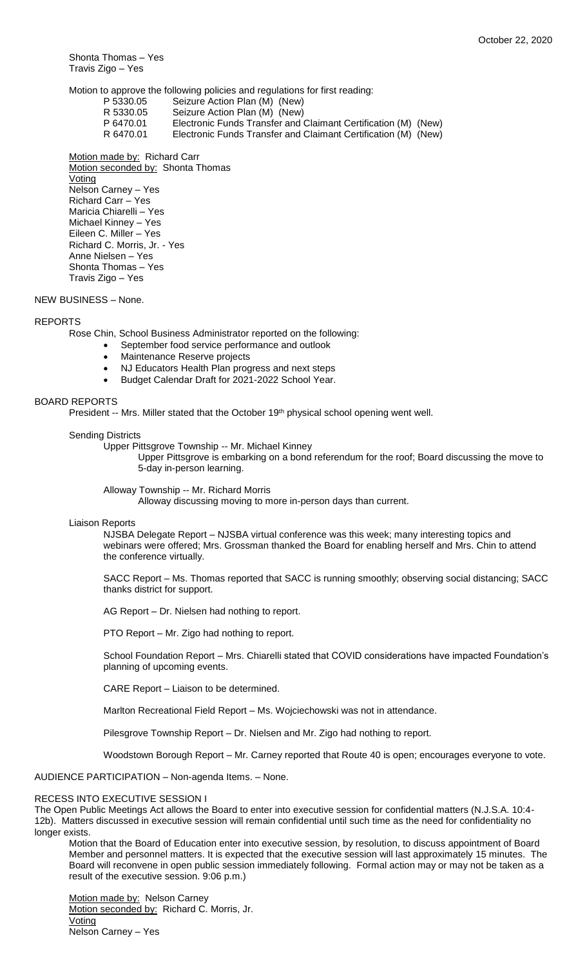Shonta Thomas – Yes Travis Zigo – Yes

Motion to approve the following policies and regulations for first reading:

| P 5330.05 | Seizure Action Plan (M) (New)                                  |
|-----------|----------------------------------------------------------------|
| R 5330.05 | Seizure Action Plan (M) (New)                                  |
| P 6470.01 | Electronic Funds Transfer and Claimant Certification (M) (New) |
| R 6470.01 | Electronic Funds Transfer and Claimant Certification (M) (New) |

Motion made by: Richard Carr Motion seconded by: Shonta Thomas Voting Nelson Carney – Yes Richard Carr – Yes Maricia Chiarelli – Yes Michael Kinney – Yes Eileen C. Miller – Yes Richard C. Morris, Jr. - Yes Anne Nielsen – Yes Shonta Thomas – Yes Travis Zigo – Yes

## NEW BUSINESS – None.

## REPORTS

Rose Chin, School Business Administrator reported on the following:

- September food service performance and outlook
- Maintenance Reserve projects
- NJ Educators Health Plan progress and next steps
- Budget Calendar Draft for 2021-2022 School Year.

## BOARD REPORTS

President -- Mrs. Miller stated that the October 19<sup>th</sup> physical school opening went well.

# Sending Districts

Upper Pittsgrove Township -- Mr. Michael Kinney

Upper Pittsgrove is embarking on a bond referendum for the roof; Board discussing the move to 5-day in-person learning.

Alloway Township -- Mr. Richard Morris

Alloway discussing moving to more in-person days than current.

## Liaison Reports

NJSBA Delegate Report – NJSBA virtual conference was this week; many interesting topics and webinars were offered; Mrs. Grossman thanked the Board for enabling herself and Mrs. Chin to attend the conference virtually.

SACC Report – Ms. Thomas reported that SACC is running smoothly; observing social distancing; SACC thanks district for support.

AG Report – Dr. Nielsen had nothing to report.

PTO Report – Mr. Zigo had nothing to report.

School Foundation Report – Mrs. Chiarelli stated that COVID considerations have impacted Foundation's planning of upcoming events.

CARE Report – Liaison to be determined.

Marlton Recreational Field Report – Ms. Wojciechowski was not in attendance.

Pilesgrove Township Report – Dr. Nielsen and Mr. Zigo had nothing to report.

Woodstown Borough Report – Mr. Carney reported that Route 40 is open; encourages everyone to vote.

AUDIENCE PARTICIPATION – Non-agenda Items. – None.

#### RECESS INTO EXECUTIVE SESSION I

The Open Public Meetings Act allows the Board to enter into executive session for confidential matters (N.J.S.A. 10:4- 12b). Matters discussed in executive session will remain confidential until such time as the need for confidentiality no longer exists.

Motion that the Board of Education enter into executive session, by resolution, to discuss appointment of Board Member and personnel matters. It is expected that the executive session will last approximately 15 minutes. The Board will reconvene in open public session immediately following. Formal action may or may not be taken as a result of the executive session. 9:06 p.m.)

Motion made by: Nelson Carney Motion seconded by: Richard C. Morris, Jr. **Voting** Nelson Carney – Yes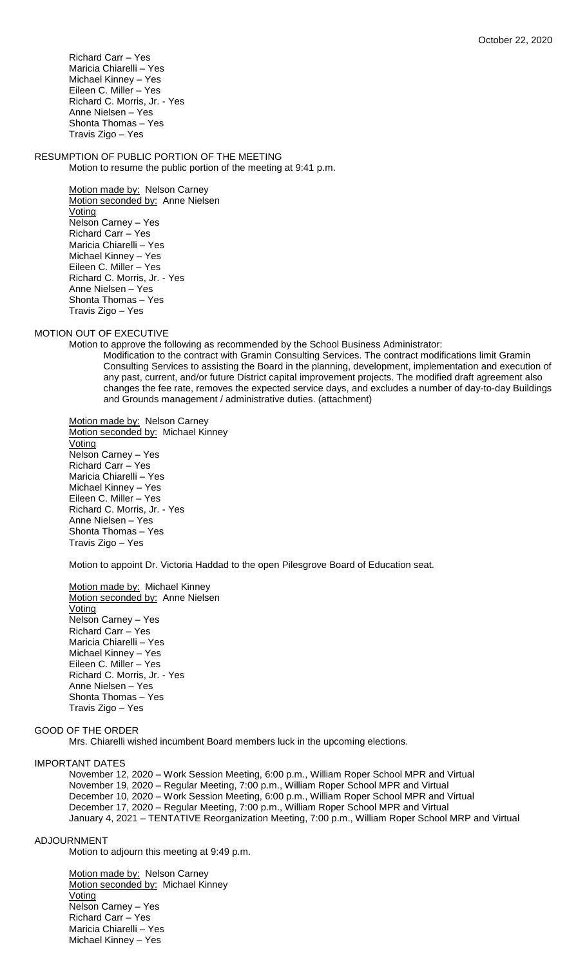Richard Carr – Yes Maricia Chiarelli – Yes Michael Kinney – Yes Eileen C. Miller – Yes Richard C. Morris, Jr. - Yes Anne Nielsen – Yes Shonta Thomas – Yes Travis Zigo – Yes

# RESUMPTION OF PUBLIC PORTION OF THE MEETING

Motion to resume the public portion of the meeting at 9:41 p.m.

Motion made by: Nelson Carney Motion seconded by: Anne Nielsen Voting Nelson Carney – Yes Richard Carr – Yes Maricia Chiarelli – Yes Michael Kinney – Yes Eileen C. Miller – Yes Richard C. Morris, Jr. - Yes Anne Nielsen – Yes Shonta Thomas – Yes Travis Zigo – Yes

# MOTION OUT OF EXECUTIVE

Motion to approve the following as recommended by the School Business Administrator:

Modification to the contract with Gramin Consulting Services. The contract modifications limit Gramin Consulting Services to assisting the Board in the planning, development, implementation and execution of any past, current, and/or future District capital improvement projects. The modified draft agreement also changes the fee rate, removes the expected service days, and excludes a number of day-to-day Buildings and Grounds management / administrative duties. (attachment)

Motion made by: Nelson Carney Motion seconded by: Michael Kinney **Voting** Nelson Carney – Yes Richard Carr – Yes Maricia Chiarelli – Yes Michael Kinney – Yes Eileen C. Miller – Yes Richard C. Morris, Jr. - Yes Anne Nielsen – Yes Shonta Thomas – Yes Travis Zigo – Yes

Motion to appoint Dr. Victoria Haddad to the open Pilesgrove Board of Education seat.

Motion made by: Michael Kinney Motion seconded by: Anne Nielsen **Voting** Nelson Carney – Yes Richard Carr – Yes Maricia Chiarelli – Yes Michael Kinney – Yes Eileen C. Miller – Yes Richard C. Morris, Jr. - Yes Anne Nielsen – Yes Shonta Thomas – Yes Travis Zigo – Yes

# GOOD OF THE ORDER

Mrs. Chiarelli wished incumbent Board members luck in the upcoming elections.

IMPORTANT DATES

November 12, 2020 – Work Session Meeting, 6:00 p.m., William Roper School MPR and Virtual November 19, 2020 – Regular Meeting, 7:00 p.m., William Roper School MPR and Virtual December 10, 2020 – Work Session Meeting, 6:00 p.m., William Roper School MPR and Virtual December 17, 2020 – Regular Meeting, 7:00 p.m., William Roper School MPR and Virtual January 4, 2021 – TENTATIVE Reorganization Meeting, 7:00 p.m., William Roper School MRP and Virtual

## ADJOURNMENT

Motion to adjourn this meeting at 9:49 p.m.

Motion made by: Nelson Carney Motion seconded by: Michael Kinney **Voting** Nelson Carney – Yes Richard Carr – Yes Maricia Chiarelli – Yes Michael Kinney – Yes